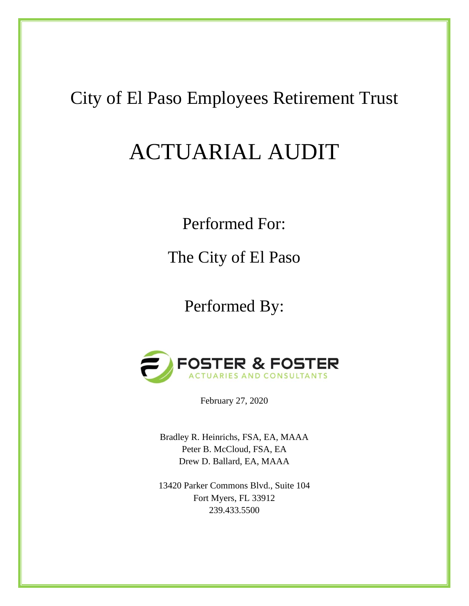## City of El Paso Employees Retirement Trust

# ACTUARIAL AUDIT

Performed For:

The City of El Paso

Performed By:



February 27, 2020

Bradley R. Heinrichs, FSA, EA, MAAA Peter B. McCloud, FSA, EA Drew D. Ballard, EA, MAAA

13420 Parker Commons Blvd., Suite 104 Fort Myers, FL 33912 239.433.5500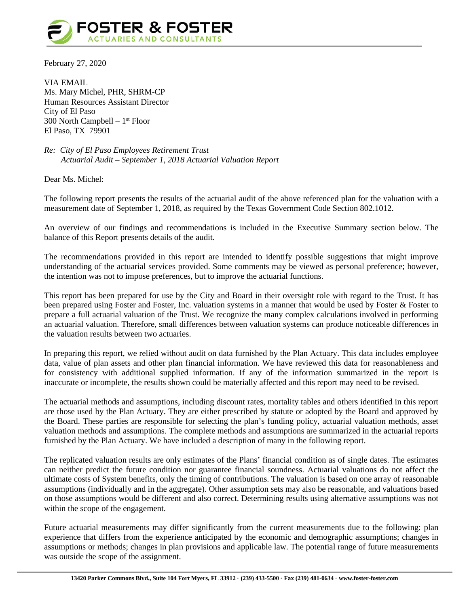

February 27, 2020

VIA EMAIL Ms. Mary Michel, PHR, SHRM-CP Human Resources Assistant Director City of El Paso 300 North Campbell  $-1<sup>st</sup>$  Floor El Paso, TX 79901

*Re: City of El Paso Employees Retirement Trust Actuarial Audit – September 1, 2018 Actuarial Valuation Report*

Dear Ms. Michel:

The following report presents the results of the actuarial audit of the above referenced plan for the valuation with a measurement date of September 1, 2018, as required by the Texas Government Code Section 802.1012.

An overview of our findings and recommendations is included in the Executive Summary section below. The balance of this Report presents details of the audit.

The recommendations provided in this report are intended to identify possible suggestions that might improve understanding of the actuarial services provided. Some comments may be viewed as personal preference; however, the intention was not to impose preferences, but to improve the actuarial functions.

This report has been prepared for use by the City and Board in their oversight role with regard to the Trust. It has been prepared using Foster and Foster, Inc. valuation systems in a manner that would be used by Foster & Foster to prepare a full actuarial valuation of the Trust. We recognize the many complex calculations involved in performing an actuarial valuation. Therefore, small differences between valuation systems can produce noticeable differences in the valuation results between two actuaries.

In preparing this report, we relied without audit on data furnished by the Plan Actuary. This data includes employee data, value of plan assets and other plan financial information. We have reviewed this data for reasonableness and for consistency with additional supplied information. If any of the information summarized in the report is inaccurate or incomplete, the results shown could be materially affected and this report may need to be revised.

The actuarial methods and assumptions, including discount rates, mortality tables and others identified in this report are those used by the Plan Actuary. They are either prescribed by statute or adopted by the Board and approved by the Board. These parties are responsible for selecting the plan's funding policy, actuarial valuation methods, asset valuation methods and assumptions. The complete methods and assumptions are summarized in the actuarial reports furnished by the Plan Actuary. We have included a description of many in the following report.

The replicated valuation results are only estimates of the Plans' financial condition as of single dates. The estimates can neither predict the future condition nor guarantee financial soundness. Actuarial valuations do not affect the ultimate costs of System benefits, only the timing of contributions. The valuation is based on one array of reasonable assumptions (individually and in the aggregate). Other assumption sets may also be reasonable, and valuations based on those assumptions would be different and also correct. Determining results using alternative assumptions was not within the scope of the engagement.

Future actuarial measurements may differ significantly from the current measurements due to the following: plan experience that differs from the experience anticipated by the economic and demographic assumptions; changes in assumptions or methods; changes in plan provisions and applicable law. The potential range of future measurements was outside the scope of the assignment.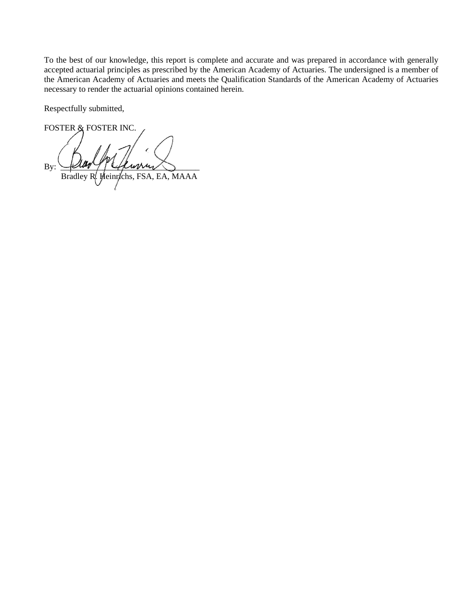To the best of our knowledge, this report is complete and accurate and was prepared in accordance with generally accepted actuarial principles as prescribed by the American Academy of Actuaries. The undersigned is a member of the American Academy of Actuaries and meets the Qualification Standards of the American Academy of Actuaries necessary to render the actuarial opinions contained herein.

Respectfully submitted,

FOSTER & FOSTER INC.  $\text{By:}$   $\Box$  and  $\Box$ Bradley R. Heinrichs, FSA, EA, MAAA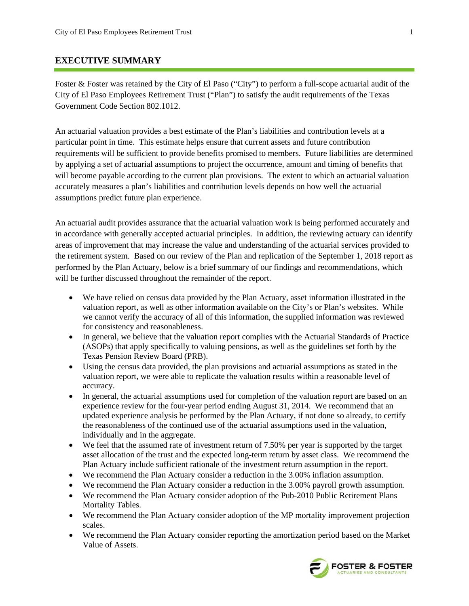#### **EXECUTIVE SUMMARY**

Foster & Foster was retained by the City of El Paso ("City") to perform a full-scope actuarial audit of the City of El Paso Employees Retirement Trust ("Plan") to satisfy the audit requirements of the Texas Government Code Section 802.1012.

An actuarial valuation provides a best estimate of the Plan's liabilities and contribution levels at a particular point in time. This estimate helps ensure that current assets and future contribution requirements will be sufficient to provide benefits promised to members. Future liabilities are determined by applying a set of actuarial assumptions to project the occurrence, amount and timing of benefits that will become payable according to the current plan provisions. The extent to which an actuarial valuation accurately measures a plan's liabilities and contribution levels depends on how well the actuarial assumptions predict future plan experience.

An actuarial audit provides assurance that the actuarial valuation work is being performed accurately and in accordance with generally accepted actuarial principles. In addition, the reviewing actuary can identify areas of improvement that may increase the value and understanding of the actuarial services provided to the retirement system. Based on our review of the Plan and replication of the September 1, 2018 report as performed by the Plan Actuary, below is a brief summary of our findings and recommendations, which will be further discussed throughout the remainder of the report.

- We have relied on census data provided by the Plan Actuary, asset information illustrated in the valuation report, as well as other information available on the City's or Plan's websites. While we cannot verify the accuracy of all of this information, the supplied information was reviewed for consistency and reasonableness.
- In general, we believe that the valuation report complies with the Actuarial Standards of Practice (ASOPs) that apply specifically to valuing pensions, as well as the guidelines set forth by the Texas Pension Review Board (PRB).
- Using the census data provided, the plan provisions and actuarial assumptions as stated in the valuation report, we were able to replicate the valuation results within a reasonable level of accuracy.
- In general, the actuarial assumptions used for completion of the valuation report are based on an experience review for the four-year period ending August 31, 2014. We recommend that an updated experience analysis be performed by the Plan Actuary, if not done so already, to certify the reasonableness of the continued use of the actuarial assumptions used in the valuation, individually and in the aggregate.
- We feel that the assumed rate of investment return of 7.50% per year is supported by the target asset allocation of the trust and the expected long-term return by asset class. We recommend the Plan Actuary include sufficient rationale of the investment return assumption in the report.
- We recommend the Plan Actuary consider a reduction in the 3.00% inflation assumption.
- We recommend the Plan Actuary consider a reduction in the 3.00% payroll growth assumption.
- We recommend the Plan Actuary consider adoption of the Pub-2010 Public Retirement Plans Mortality Tables.
- We recommend the Plan Actuary consider adoption of the MP mortality improvement projection scales.
- We recommend the Plan Actuary consider reporting the amortization period based on the Market Value of Assets.

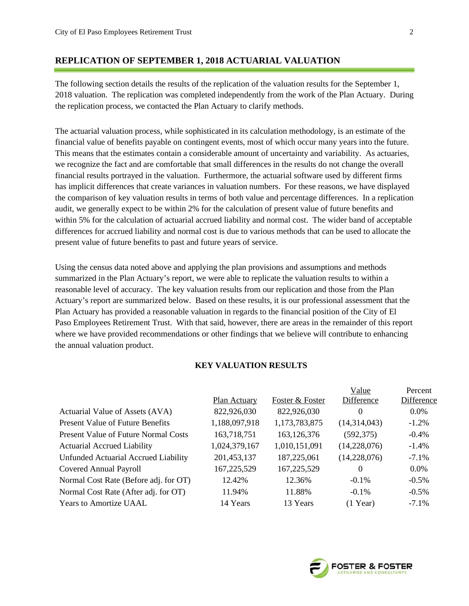#### **REPLICATION OF SEPTEMBER 1, 2018 ACTUARIAL VALUATION**

The following section details the results of the replication of the valuation results for the September 1, 2018 valuation. The replication was completed independently from the work of the Plan Actuary. During the replication process, we contacted the Plan Actuary to clarify methods.

The actuarial valuation process, while sophisticated in its calculation methodology, is an estimate of the financial value of benefits payable on contingent events, most of which occur many years into the future. This means that the estimates contain a considerable amount of uncertainty and variability. As actuaries, we recognize the fact and are comfortable that small differences in the results do not change the overall financial results portrayed in the valuation. Furthermore, the actuarial software used by different firms has implicit differences that create variances in valuation numbers. For these reasons, we have displayed the comparison of key valuation results in terms of both value and percentage differences. In a replication audit, we generally expect to be within 2% for the calculation of present value of future benefits and within 5% for the calculation of actuarial accrued liability and normal cost. The wider band of acceptable differences for accrued liability and normal cost is due to various methods that can be used to allocate the present value of future benefits to past and future years of service.

Using the census data noted above and applying the plan provisions and assumptions and methods summarized in the Plan Actuary's report, we were able to replicate the valuation results to within a reasonable level of accuracy. The key valuation results from our replication and those from the Plan Actuary's report are summarized below. Based on these results, it is our professional assessment that the Plan Actuary has provided a reasonable valuation in regards to the financial position of the City of El Paso Employees Retirement Trust. With that said, however, there are areas in the remainder of this report where we have provided recommendations or other findings that we believe will contribute to enhancing the annual valuation product.

#### **KEY VALUATION RESULTS**

|                                             |               |                 | Value        | Percent    |
|---------------------------------------------|---------------|-----------------|--------------|------------|
|                                             | Plan Actuary  | Foster & Foster | Difference   | Difference |
| Actuarial Value of Assets (AVA)             | 822,926,030   | 822,926,030     | 0            | $0.0\%$    |
| <b>Present Value of Future Benefits</b>     | 1,188,097,918 | 1,173,783,875   | (14,314,043) | $-1.2\%$   |
| <b>Present Value of Future Normal Costs</b> | 163,718,751   | 163, 126, 376   | (592, 375)   | $-0.4\%$   |
| <b>Actuarial Accrued Liability</b>          | 1,024,379,167 | 1,010,151,091   | (14,228,076) | $-1.4%$    |
| Unfunded Actuarial Accrued Liability        | 201,453,137   | 187,225,061     | (14,228,076) | $-7.1\%$   |
| <b>Covered Annual Payroll</b>               | 167,225,529   | 167,225,529     | $\Omega$     | $0.0\%$    |
| Normal Cost Rate (Before adj. for OT)       | 12.42%        | 12.36%          | $-0.1\%$     | $-0.5\%$   |
| Normal Cost Rate (After adj. for OT)        | 11.94%        | 11.88%          | $-0.1\%$     | $-0.5\%$   |
| <b>Years to Amortize UAAL</b>               | 14 Years      | 13 Years        | $(1$ Year)   | $-7.1\%$   |
|                                             |               |                 |              |            |

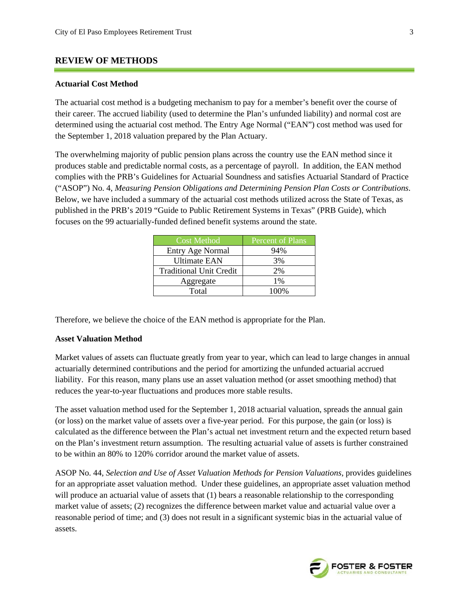#### **REVIEW OF METHODS**

#### **Actuarial Cost Method**

The actuarial cost method is a budgeting mechanism to pay for a member's benefit over the course of their career. The accrued liability (used to determine the Plan's unfunded liability) and normal cost are determined using the actuarial cost method. The Entry Age Normal ("EAN") cost method was used for the September 1, 2018 valuation prepared by the Plan Actuary.

The overwhelming majority of public pension plans across the country use the EAN method since it produces stable and predictable normal costs, as a percentage of payroll. In addition, the EAN method complies with the PRB's Guidelines for Actuarial Soundness and satisfies Actuarial Standard of Practice ("ASOP") No. 4, *Measuring Pension Obligations and Determining Pension Plan Costs or Contributions*. Below, we have included a summary of the actuarial cost methods utilized across the State of Texas, as published in the PRB's 2019 "Guide to Public Retirement Systems in Texas" (PRB Guide), which focuses on the 99 actuarially-funded defined benefit systems around the state.

| <b>Cost Method</b>             | Percent of Plans |
|--------------------------------|------------------|
| Entry Age Normal               | 94%              |
| <b>Ultimate EAN</b>            | 3%               |
| <b>Traditional Unit Credit</b> | 2%               |
| Aggregate                      | 1%               |
| Total                          | 100%             |

Therefore, we believe the choice of the EAN method is appropriate for the Plan.

#### **Asset Valuation Method**

Market values of assets can fluctuate greatly from year to year, which can lead to large changes in annual actuarially determined contributions and the period for amortizing the unfunded actuarial accrued liability. For this reason, many plans use an asset valuation method (or asset smoothing method) that reduces the year-to-year fluctuations and produces more stable results.

The asset valuation method used for the September 1, 2018 actuarial valuation, spreads the annual gain (or loss) on the market value of assets over a five-year period. For this purpose, the gain (or loss) is calculated as the difference between the Plan's actual net investment return and the expected return based on the Plan's investment return assumption. The resulting actuarial value of assets is further constrained to be within an 80% to 120% corridor around the market value of assets.

ASOP No. 44, *Selection and Use of Asset Valuation Methods for Pension Valuations*, provides guidelines for an appropriate asset valuation method. Under these guidelines, an appropriate asset valuation method will produce an actuarial value of assets that (1) bears a reasonable relationship to the corresponding market value of assets; (2) recognizes the difference between market value and actuarial value over a reasonable period of time; and (3) does not result in a significant systemic bias in the actuarial value of assets.

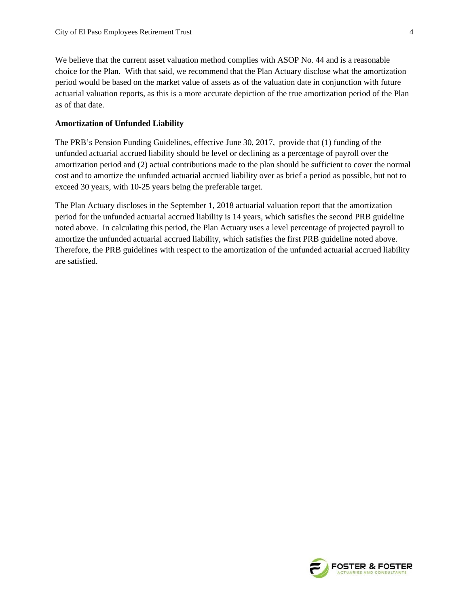We believe that the current asset valuation method complies with ASOP No. 44 and is a reasonable choice for the Plan. With that said, we recommend that the Plan Actuary disclose what the amortization period would be based on the market value of assets as of the valuation date in conjunction with future actuarial valuation reports, as this is a more accurate depiction of the true amortization period of the Plan as of that date.

#### **Amortization of Unfunded Liability**

The PRB's Pension Funding Guidelines, effective June 30, 2017, provide that (1) funding of the unfunded actuarial accrued liability should be level or declining as a percentage of payroll over the amortization period and (2) actual contributions made to the plan should be sufficient to cover the normal cost and to amortize the unfunded actuarial accrued liability over as brief a period as possible, but not to exceed 30 years, with 10-25 years being the preferable target.

The Plan Actuary discloses in the September 1, 2018 actuarial valuation report that the amortization period for the unfunded actuarial accrued liability is 14 years, which satisfies the second PRB guideline noted above. In calculating this period, the Plan Actuary uses a level percentage of projected payroll to amortize the unfunded actuarial accrued liability, which satisfies the first PRB guideline noted above. Therefore, the PRB guidelines with respect to the amortization of the unfunded actuarial accrued liability are satisfied.

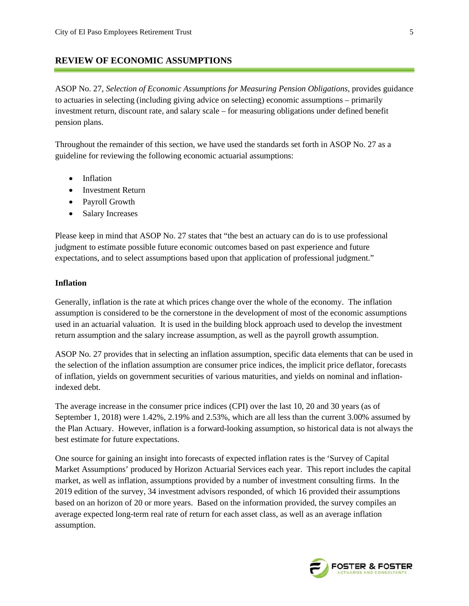#### **REVIEW OF ECONOMIC ASSUMPTIONS**

ASOP No. 27, *Selection of Economic Assumptions for Measuring Pension Obligations,* provides guidance to actuaries in selecting (including giving advice on selecting) economic assumptions – primarily investment return, discount rate, and salary scale – for measuring obligations under defined benefit pension plans.

Throughout the remainder of this section, we have used the standards set forth in ASOP No. 27 as a guideline for reviewing the following economic actuarial assumptions:

- Inflation
- Investment Return
- Payroll Growth
- Salary Increases

Please keep in mind that ASOP No. 27 states that "the best an actuary can do is to use professional judgment to estimate possible future economic outcomes based on past experience and future expectations, and to select assumptions based upon that application of professional judgment."

#### **Inflation**

Generally, inflation is the rate at which prices change over the whole of the economy. The inflation assumption is considered to be the cornerstone in the development of most of the economic assumptions used in an actuarial valuation. It is used in the building block approach used to develop the investment return assumption and the salary increase assumption, as well as the payroll growth assumption.

ASOP No. 27 provides that in selecting an inflation assumption, specific data elements that can be used in the selection of the inflation assumption are consumer price indices, the implicit price deflator, forecasts of inflation, yields on government securities of various maturities, and yields on nominal and inflationindexed debt.

The average increase in the consumer price indices (CPI) over the last 10, 20 and 30 years (as of September 1, 2018) were 1.42%, 2.19% and 2.53%, which are all less than the current 3.00% assumed by the Plan Actuary. However, inflation is a forward-looking assumption, so historical data is not always the best estimate for future expectations.

One source for gaining an insight into forecasts of expected inflation rates is the 'Survey of Capital Market Assumptions' produced by Horizon Actuarial Services each year. This report includes the capital market, as well as inflation, assumptions provided by a number of investment consulting firms. In the 2019 edition of the survey, 34 investment advisors responded, of which 16 provided their assumptions based on an horizon of 20 or more years. Based on the information provided, the survey compiles an average expected long-term real rate of return for each asset class, as well as an average inflation assumption.

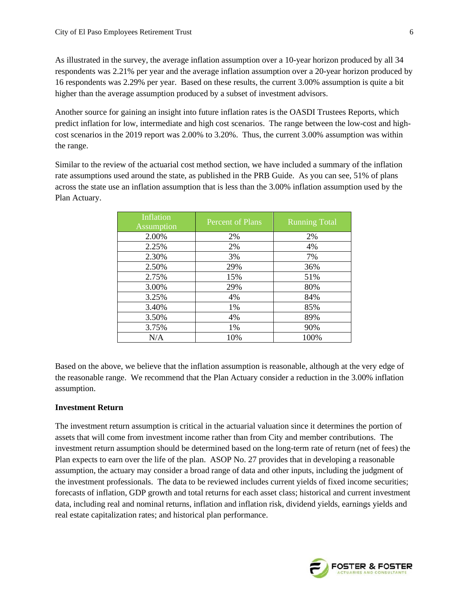As illustrated in the survey, the average inflation assumption over a 10-year horizon produced by all 34 respondents was 2.21% per year and the average inflation assumption over a 20-year horizon produced by 16 respondents was 2.29% per year. Based on these results, the current 3.00% assumption is quite a bit higher than the average assumption produced by a subset of investment advisors.

Another source for gaining an insight into future inflation rates is the OASDI Trustees Reports, which predict inflation for low, intermediate and high cost scenarios. The range between the low-cost and highcost scenarios in the 2019 report was 2.00% to 3.20%. Thus, the current 3.00% assumption was within the range.

Similar to the review of the actuarial cost method section, we have included a summary of the inflation rate assumptions used around the state, as published in the PRB Guide. As you can see, 51% of plans across the state use an inflation assumption that is less than the 3.00% inflation assumption used by the Plan Actuary.

| Inflation<br><b>Assumption</b> | Percent of Plans | <b>Running Total</b> |
|--------------------------------|------------------|----------------------|
| 2.00%                          | 2%               | 2%                   |
| 2.25%                          | 2%               | 4%                   |
| 2.30%                          | 3%               | 7%                   |
| 2.50%                          | 29%              | 36%                  |
| 2.75%                          | 15%              | 51%                  |
| 3.00%                          | 29%              | 80%                  |
| 3.25%                          | 4%               | 84%                  |
| 3.40%                          | 1%               | 85%                  |
| 3.50%                          | 4%               | 89%                  |
| 3.75%                          | 1%               | 90%                  |
| N/A                            | 10%              | 100%                 |

Based on the above, we believe that the inflation assumption is reasonable, although at the very edge of the reasonable range. We recommend that the Plan Actuary consider a reduction in the 3.00% inflation assumption.

#### **Investment Return**

The investment return assumption is critical in the actuarial valuation since it determines the portion of assets that will come from investment income rather than from City and member contributions. The investment return assumption should be determined based on the long-term rate of return (net of fees) the Plan expects to earn over the life of the plan. ASOP No. 27 provides that in developing a reasonable assumption, the actuary may consider a broad range of data and other inputs, including the judgment of the investment professionals. The data to be reviewed includes current yields of fixed income securities; forecasts of inflation, GDP growth and total returns for each asset class; historical and current investment data, including real and nominal returns, inflation and inflation risk, dividend yields, earnings yields and real estate capitalization rates; and historical plan performance.

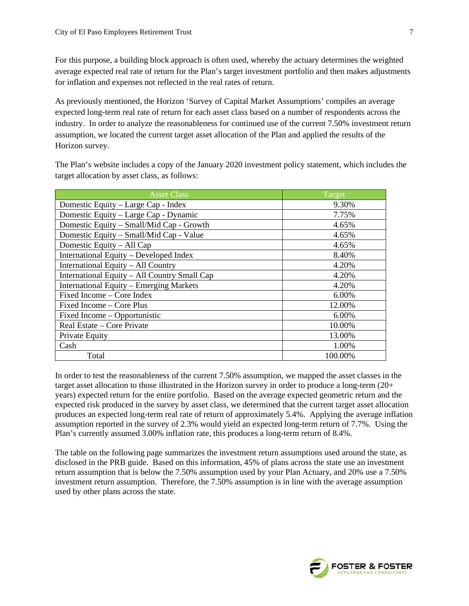For this purpose, a building block approach is often used, whereby the actuary determines the weighted average expected real rate of return for the Plan's target investment portfolio and then makes adjustments for inflation and expenses not reflected in the real rates of return.

As previously mentioned, the Horizon 'Survey of Capital Market Assumptions' compiles an average expected long-term real rate of return for each asset class based on a number of respondents across the industry. In order to analyze the reasonableness for continued use of the current 7.50% investment return assumption, we located the current target asset allocation of the Plan and applied the results of the Horizon survey.

The Plan's website includes a copy of the January 2020 investment policy statement, which includes the target allocation by asset class, as follows:

| <b>Asset Class</b>                           | Target   |
|----------------------------------------------|----------|
| Domestic Equity – Large Cap - Index          | 9.30%    |
| Domestic Equity – Large Cap - Dynamic        | 7.75%    |
| Domestic Equity – Small/Mid Cap - Growth     | 4.65%    |
| Domestic Equity - Small/Mid Cap - Value      | 4.65%    |
| Domestic Equity – All Cap                    | 4.65%    |
| International Equity - Developed Index       | 8.40%    |
| International Equity - All Country           | 4.20%    |
| International Equity - All Country Small Cap | 4.20%    |
| International Equity - Emerging Markets      | 4.20%    |
| Fixed Income – Core Index                    | $6.00\%$ |
| Fixed Income – Core Plus                     | 12.00%   |
| Fixed Income – Opportunistic                 | 6.00%    |
| Real Estate – Core Private                   | 10.00%   |
| Private Equity                               | 13.00%   |
| Cash                                         | 1.00%    |
| Total                                        | 100.00%  |

In order to test the reasonableness of the current 7.50% assumption, we mapped the asset classes in the target asset allocation to those illustrated in the Horizon survey in order to produce a long-term (20+ years) expected return for the entire portfolio. Based on the average expected geometric return and the expected risk produced in the survey by asset class, we determined that the current target asset allocation produces an expected long-term real rate of return of approximately 5.4%. Applying the average inflation assumption reported in the survey of 2.3% would yield an expected long-term return of 7.7%. Using the Plan's currently assumed 3.00% inflation rate, this produces a long-term return of 8.4%.

The table on the following page summarizes the investment return assumptions used around the state, as disclosed in the PRB guide. Based on this information, 45% of plans across the state use an investment return assumption that is below the 7.50% assumption used by your Plan Actuary, and 20% use a 7.50% investment return assumption. Therefore, the 7.50% assumption is in line with the average assumption used by other plans across the state.

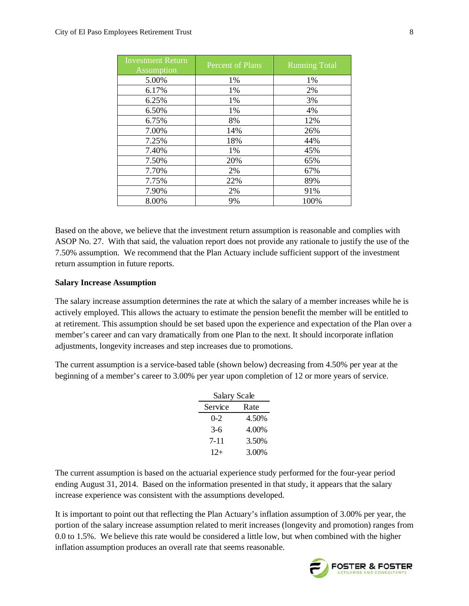| <b>Investment Return</b><br>Assumption | Percent of Plans | <b>Running Total</b> |
|----------------------------------------|------------------|----------------------|
| 5.00%                                  | 1%               | 1%                   |
| 6.17%                                  | 1%               | 2%                   |
| 6.25%                                  | 1%               | 3%                   |
| 6.50%                                  | 1%               | 4%                   |
| 6.75%                                  | 8%               | 12%                  |
| 7.00%                                  | 14%              | 26%                  |
| 7.25%                                  | 18%              | 44%                  |
| 7.40%                                  | 1%               | 45%                  |
| 7.50%                                  | 20%              | 65%                  |
| 7.70%                                  | 2%               | 67%                  |
| 7.75%                                  | 22%              | 89%                  |
| 7.90%                                  | 2%               | 91%                  |
| 8.00%                                  | 9%               | 100%                 |

Based on the above, we believe that the investment return assumption is reasonable and complies with ASOP No. 27. With that said, the valuation report does not provide any rationale to justify the use of the 7.50% assumption. We recommend that the Plan Actuary include sufficient support of the investment return assumption in future reports.

#### **Salary Increase Assumption**

The salary increase assumption determines the rate at which the salary of a member increases while he is actively employed. This allows the actuary to estimate the pension benefit the member will be entitled to at retirement. This assumption should be set based upon the experience and expectation of the Plan over a member's career and can vary dramatically from one Plan to the next. It should incorporate inflation adjustments, longevity increases and step increases due to promotions.

The current assumption is a service-based table (shown below) decreasing from 4.50% per year at the beginning of a member's career to 3.00% per year upon completion of 12 or more years of service.

| Salary Scale |       |
|--------------|-------|
| Service      | Rate  |
| $0 - 2$      | 4.50% |
| $3-6$        | 4.00% |
| 7-11         | 3.50% |
| $12+$        | 3.00% |

The current assumption is based on the actuarial experience study performed for the four-year period ending August 31, 2014. Based on the information presented in that study, it appears that the salary increase experience was consistent with the assumptions developed.

It is important to point out that reflecting the Plan Actuary's inflation assumption of 3.00% per year, the portion of the salary increase assumption related to merit increases (longevity and promotion) ranges from 0.0 to 1.5%. We believe this rate would be considered a little low, but when combined with the higher inflation assumption produces an overall rate that seems reasonable.

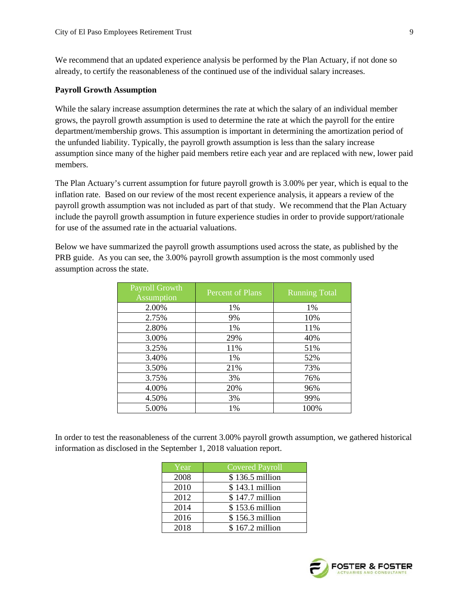We recommend that an updated experience analysis be performed by the Plan Actuary, if not done so already, to certify the reasonableness of the continued use of the individual salary increases.

#### **Payroll Growth Assumption**

While the salary increase assumption determines the rate at which the salary of an individual member grows, the payroll growth assumption is used to determine the rate at which the payroll for the entire department/membership grows. This assumption is important in determining the amortization period of the unfunded liability. Typically, the payroll growth assumption is less than the salary increase assumption since many of the higher paid members retire each year and are replaced with new, lower paid members.

The Plan Actuary's current assumption for future payroll growth is 3.00% per year, which is equal to the inflation rate. Based on our review of the most recent experience analysis, it appears a review of the payroll growth assumption was not included as part of that study. We recommend that the Plan Actuary include the payroll growth assumption in future experience studies in order to provide support/rationale for use of the assumed rate in the actuarial valuations.

Below we have summarized the payroll growth assumptions used across the state, as published by the PRB guide. As you can see, the 3.00% payroll growth assumption is the most commonly used assumption across the state.

| Payroll Growth<br>Assumption | Percent of Plans | <b>Running Total</b> |
|------------------------------|------------------|----------------------|
| 2.00%                        | 1%               | 1%                   |
| 2.75%                        | 9%               | 10%                  |
| 2.80%                        | 1%               | 11%                  |
| 3.00%                        | 29%              | 40%                  |
| 3.25%                        | 11%              | 51%                  |
| 3.40%                        | 1%               | 52%                  |
| 3.50%                        | 21%              | 73%                  |
| 3.75%                        | 3%               | 76%                  |
| 4.00%                        | 20%              | 96%                  |
| 4.50%                        | 3%               | 99%                  |
| 5.00%                        | 1%               | 100%                 |

In order to test the reasonableness of the current 3.00% payroll growth assumption, we gathered historical information as disclosed in the September 1, 2018 valuation report.

| Year | <b>Covered Payroll</b> |
|------|------------------------|
| 2008 | \$136.5 million        |
| 2010 | \$143.1 million        |
| 2012 | $$147.7$ million       |
| 2014 | \$153.6 million        |
| 2016 | \$156.3 million        |
| 2018 | \$167.2 million        |

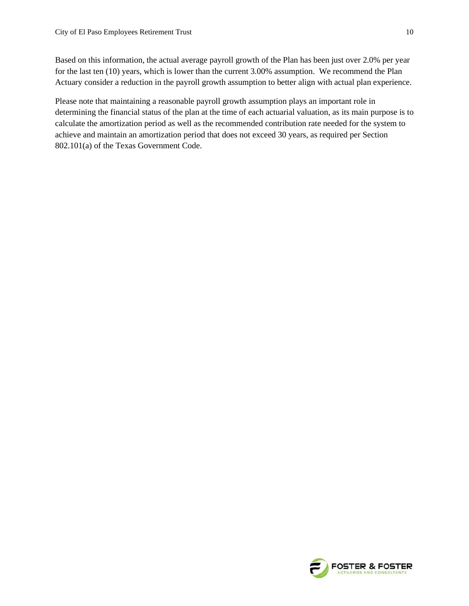Based on this information, the actual average payroll growth of the Plan has been just over 2.0% per year for the last ten (10) years, which is lower than the current 3.00% assumption. We recommend the Plan Actuary consider a reduction in the payroll growth assumption to better align with actual plan experience.

Please note that maintaining a reasonable payroll growth assumption plays an important role in determining the financial status of the plan at the time of each actuarial valuation, as its main purpose is to calculate the amortization period as well as the recommended contribution rate needed for the system to achieve and maintain an amortization period that does not exceed 30 years, as required per Section 802.101(a) of the Texas Government Code.

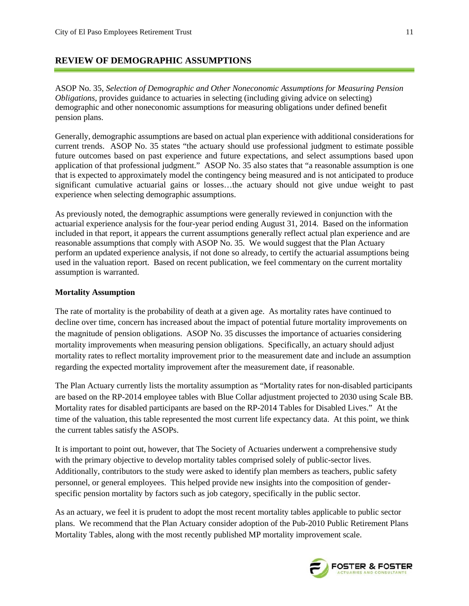#### **REVIEW OF DEMOGRAPHIC ASSUMPTIONS**

ASOP No. 35, *Selection of Demographic and Other Noneconomic Assumptions for Measuring Pension Obligations*, provides guidance to actuaries in selecting (including giving advice on selecting) demographic and other noneconomic assumptions for measuring obligations under defined benefit pension plans.

Generally, demographic assumptions are based on actual plan experience with additional considerations for current trends. ASOP No. 35 states "the actuary should use professional judgment to estimate possible future outcomes based on past experience and future expectations, and select assumptions based upon application of that professional judgment." ASOP No. 35 also states that "a reasonable assumption is one that is expected to approximately model the contingency being measured and is not anticipated to produce significant cumulative actuarial gains or losses…the actuary should not give undue weight to past experience when selecting demographic assumptions.

As previously noted, the demographic assumptions were generally reviewed in conjunction with the actuarial experience analysis for the four-year period ending August 31, 2014. Based on the information included in that report, it appears the current assumptions generally reflect actual plan experience and are reasonable assumptions that comply with ASOP No. 35. We would suggest that the Plan Actuary perform an updated experience analysis, if not done so already, to certify the actuarial assumptions being used in the valuation report. Based on recent publication, we feel commentary on the current mortality assumption is warranted.

#### **Mortality Assumption**

The rate of mortality is the probability of death at a given age. As mortality rates have continued to decline over time, concern has increased about the impact of potential future mortality improvements on the magnitude of pension obligations. ASOP No. 35 discusses the importance of actuaries considering mortality improvements when measuring pension obligations. Specifically, an actuary should adjust mortality rates to reflect mortality improvement prior to the measurement date and include an assumption regarding the expected mortality improvement after the measurement date, if reasonable.

The Plan Actuary currently lists the mortality assumption as "Mortality rates for non-disabled participants are based on the RP-2014 employee tables with Blue Collar adjustment projected to 2030 using Scale BB. Mortality rates for disabled participants are based on the RP-2014 Tables for Disabled Lives." At the time of the valuation, this table represented the most current life expectancy data. At this point, we think the current tables satisfy the ASOPs.

It is important to point out, however, that The Society of Actuaries underwent a comprehensive study with the primary objective to develop mortality tables comprised solely of public-sector lives. Additionally, contributors to the study were asked to identify plan members as teachers, public safety personnel, or general employees. This helped provide new insights into the composition of genderspecific pension mortality by factors such as job category, specifically in the public sector.

As an actuary, we feel it is prudent to adopt the most recent mortality tables applicable to public sector plans. We recommend that the Plan Actuary consider adoption of the Pub-2010 Public Retirement Plans Mortality Tables, along with the most recently published MP mortality improvement scale.

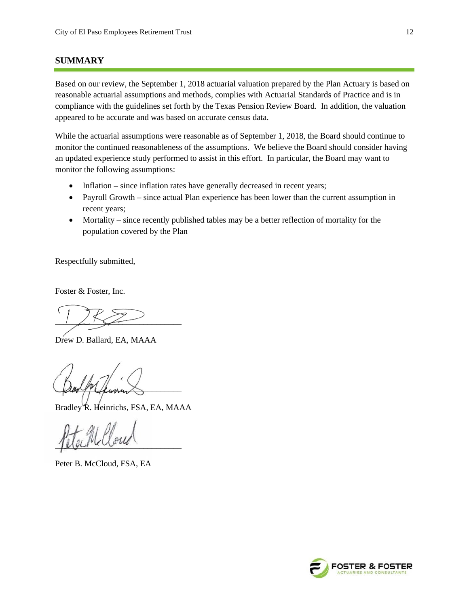#### **SUMMARY**

Based on our review, the September 1, 2018 actuarial valuation prepared by the Plan Actuary is based on reasonable actuarial assumptions and methods, complies with Actuarial Standards of Practice and is in compliance with the guidelines set forth by the Texas Pension Review Board. In addition, the valuation appeared to be accurate and was based on accurate census data.

While the actuarial assumptions were reasonable as of September 1, 2018, the Board should continue to monitor the continued reasonableness of the assumptions. We believe the Board should consider having an updated experience study performed to assist in this effort. In particular, the Board may want to monitor the following assumptions:

- Inflation since inflation rates have generally decreased in recent years;
- Payroll Growth since actual Plan experience has been lower than the current assumption in recent years;
- Mortality since recently published tables may be a better reflection of mortality for the population covered by the Plan

Respectfully submitted,

Foster & Foster, Inc.

 $\frac{1}{2}$ 

Drew D. Ballard, EA, MAAA

 $\mu$ 

Bradley R. Heinrichs, FSA, EA, MAAA

 $\mu$ 

Peter B. McCloud, FSA, EA

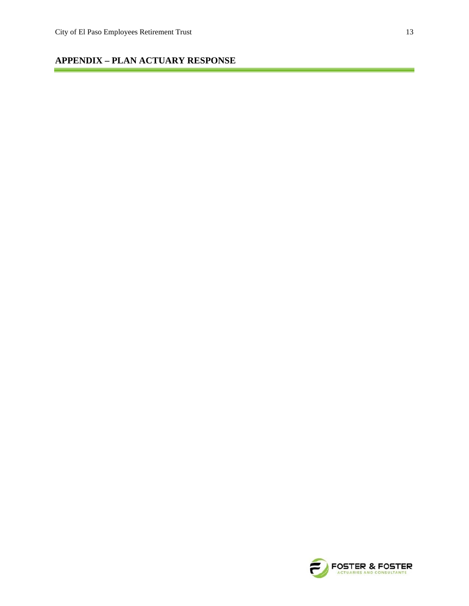### **APPENDIX – PLAN ACTUARY RESPONSE**

۳

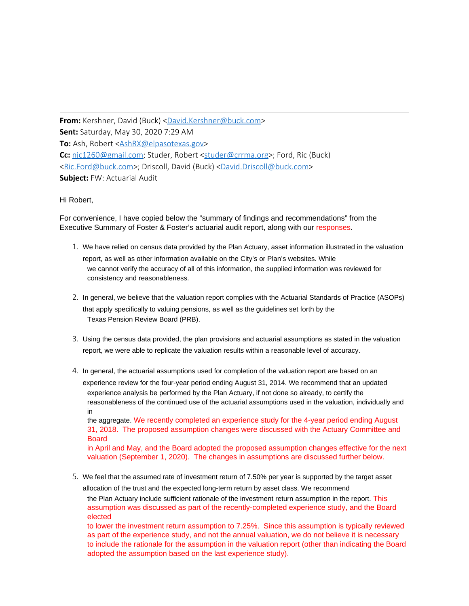**From:** Kershner, David (Buck) [<David.Kershner@buck.com](mailto:David.Kershner@buck.com)> **Sent:** Saturday, May 30, 2020 7:29 AM **To:** Ash, Robert [<AshRX@elpasotexas.gov](mailto:AshRX@elpasotexas.gov)> Cc: [njc1260@gmail.com](mailto:njc1260@gmail.com); Studer, Robert [<studer@crrma.org](mailto:studer@crrma.org)>; Ford, Ric (Buck) [<Ric.Ford@buck.com](mailto:Ric.Ford@buck.com)>; Driscoll, David (Buck) [<David.Driscoll@buck.com](mailto:David.Driscoll@buck.com)> **Subject:** FW: Actuarial Audit

#### Hi Robert,

For convenience, I have copied below the "summary of findings and recommendations" from the Executive Summary of Foster & Foster's actuarial audit report, along with our responses.

- 1. We have relied on census data provided by the Plan Actuary, asset information illustrated in the valuation report, as well as other information available on the City's or Plan's websites. While we cannot verify the accuracy of all of this information, the supplied information was reviewed for consistency and reasonableness.
- 2. In general, we believe that the valuation report complies with the Actuarial Standards of Practice (ASOPs) that apply specifically to valuing pensions, as well as the guidelines set forth by the Texas Pension Review Board (PRB).
- 3. Using the census data provided, the plan provisions and actuarial assumptions as stated in the valuation report, we were able to replicate the valuation results within a reasonable level of accuracy.
- 4. In general, the actuarial assumptions used for completion of the valuation report are based on an experience review for the four-year period ending August 31, 2014. We recommend that an updated experience analysis be performed by the Plan Actuary, if not done so already, to certify the reasonableness of the continued use of the actuarial assumptions used in the valuation, individually and in

the aggregate. We recently completed an experience study for the 4-year period ending August 31, 2018. The proposed assumption changes were discussed with the Actuary Committee and Board

in April and May, and the Board adopted the proposed assumption changes effective for the next valuation (September 1, 2020). The changes in assumptions are discussed further below.

5. We feel that the assumed rate of investment return of 7.50% per year is supported by the target asset allocation of the trust and the expected long-term return by asset class. We recommend

the Plan Actuary include sufficient rationale of the investment return assumption in the report. This assumption was discussed as part of the recently-completed experience study, and the Board elected

to lower the investment return assumption to 7.25%. Since this assumption is typically reviewed as part of the experience study, and not the annual valuation, we do not believe it is necessary to include the rationale for the assumption in the valuation report (other than indicating the Board adopted the assumption based on the last experience study).